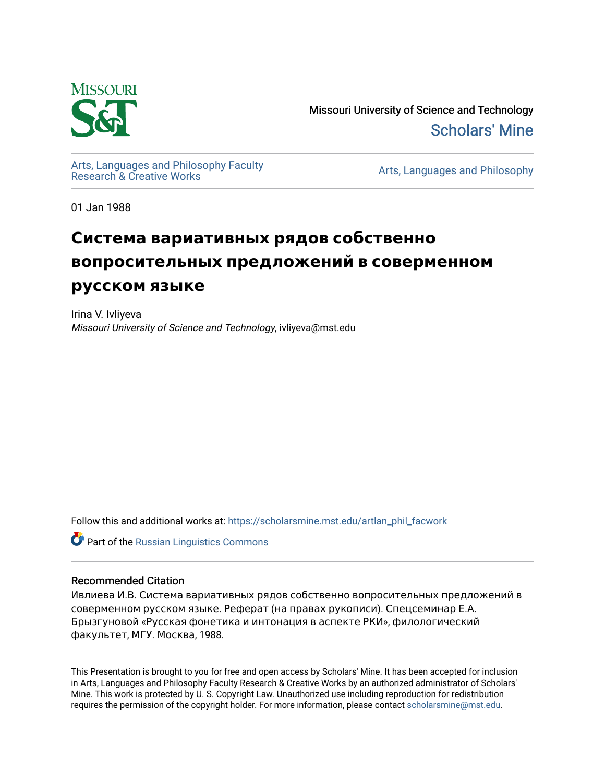

Missouri University of Science and Technology [Scholars' Mine](https://scholarsmine.mst.edu/) 

[Arts, Languages and Philosophy Faculty](https://scholarsmine.mst.edu/artlan_phil_facwork) 

Arts, Languages and Philosophy

01 Jan 1988

# **Система вариативных рядов собственно вопросительных предложений в соверменном русском языке**

Irina V. Ivliyeva Missouri University of Science and Technology, ivliyeva@mst.edu

Follow this and additional works at: [https://scholarsmine.mst.edu/artlan\\_phil\\_facwork](https://scholarsmine.mst.edu/artlan_phil_facwork?utm_source=scholarsmine.mst.edu%2Fartlan_phil_facwork%2F187&utm_medium=PDF&utm_campaign=PDFCoverPages) 

**C** Part of the Russian Linguistics Commons

### Recommended Citation

Ивлиева И.В. Система вариативных рядов собственно вопросительных предложений в соверменном русском языке. Реферат (на правах рукописи). Спецсеминар Е.А. Брызгуновой «Русская фонетика и интонация в аспекте РКИ», филологический факультет, МГУ. Москва, 1988.

This Presentation is brought to you for free and open access by Scholars' Mine. It has been accepted for inclusion in Arts, Languages and Philosophy Faculty Research & Creative Works by an authorized administrator of Scholars' Mine. This work is protected by U. S. Copyright Law. Unauthorized use including reproduction for redistribution requires the permission of the copyright holder. For more information, please contact [scholarsmine@mst.edu.](mailto:scholarsmine@mst.edu)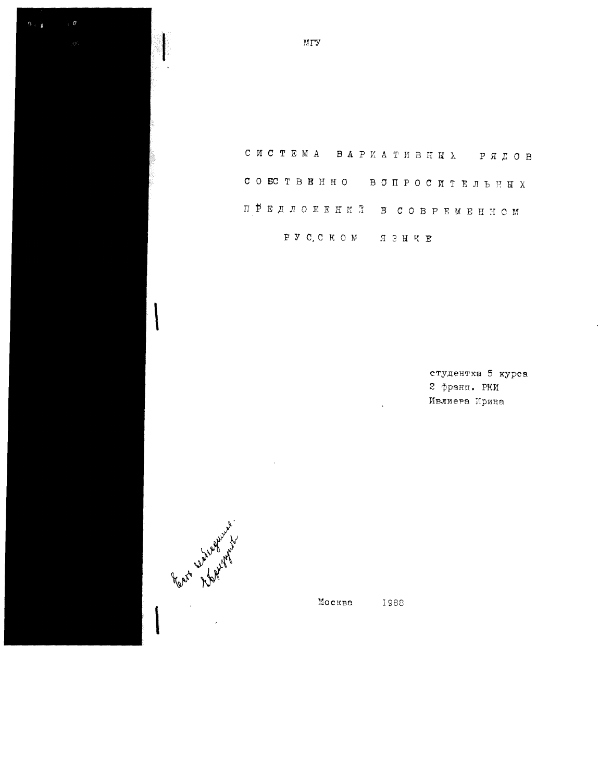C ИСТЕМА ВАРИАТИВНЫХ РЯДОВ COECTBEHHO BONPOCMTEЛЬНЫХ ПРЕДЛОЖЕНИЙ В СОВРЕМЕННОМ P V C C K O M A 3 H K E

 $\ddot{\phantom{a}}$ 

студентка 5 курса 2 франц. РКИ Ивлиера Ирина

Москва 1988

Rate 2 treat of

 $B = \frac{1}{3}$ 

МГУ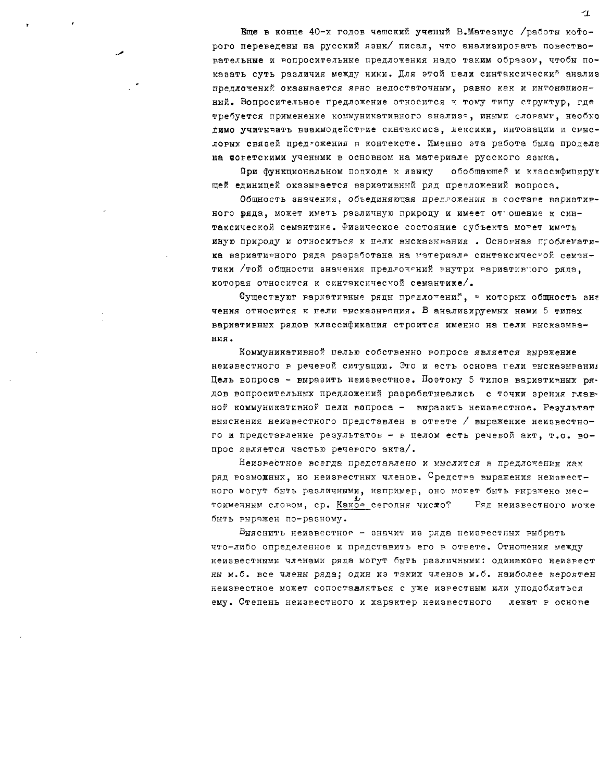Еще в конце 40-х годов чешский ученый В.Матезиус /работы кофорого переведены на русский язык/ писал, что анализировать повествовательные и вопросительные предложения надо таким образом, чтобы показать суть различия между ними. Для этой цели синтаксический анализ предложений оказывается явно недостаточным, равно как и интонационный. Вопросительное предложение относится к тому типу структур, где требуется применение коммуникативного знализа, иными слорами, необхо димо учитывать взаимодействие синтаксисе, лексики, интонации и смысловых связей предтожения в контексте. Именно эта работа была продела на поретскими учеными в основном на материале русского языка.

При функциональном подходе к языку обобщающей и классифицирую щей единицей оказывается вариативный ряд предложений вопроса.

Общность значения, объединяющая предложения в составе вариативного вяда, может иметь различную природу и имеет отвошение к синтаксической семантике. Физическое состояние субъекта мотет имоть иную природу и относиться к нели высказывания . Основная проблематика вариатирного ряда разработана на материале синтаксичестой семантики /той общности значения предлочений внутри вариативного ряда, которая относится к синтаксической семантике/.

Существуют вариативные ряды предлочений, в которых общность зна чения относится к пели рысказмряния. В анализируемых нами 5 типах вариативных рядов классификация строится именно на цели высказывания.

Коммуникативной целью собственно вопроса является выражение неизвестного в речевой ситуации. Это и есть основа гели высказывания Цель вопроса - выразить неизвестное. Поэтому 5 типов вариативных рядов вопросительных предложений разрабатывались с точки зрения главной коммуникативной цели вопроса - выразить неизвестное. Результат выяснения неизвестного представлен в ответе / выражение неизвестного и представление результатов - в целом есть речевой акт, т.о. вопрос является частью речерого акта/.

Неизвестное всегда представлено и мыслится в предложении как ряд возможных, но неизрестных членов. Средства выражения неизвестного могут быть различными, например, оно может быть выражено местоименным словом, ср. Накое сегодня число? Ряд неизвестного може быть выражен по-разному.

Выяснить неизвестное - значит из ряда неизвестных выбрать что-либо определенное и представить его в ответе. Отношения между неизвестными членами ряда могут быть различными: одинакого неизрест ны м.б. все члены ряда; один из таких членов м.б. наиболее вероятен неизвестное может сопоставляться с уже изрестным или уподобляться ему. Степень неизвестного и характер неизвестного лежат в основе

 $\overline{1}$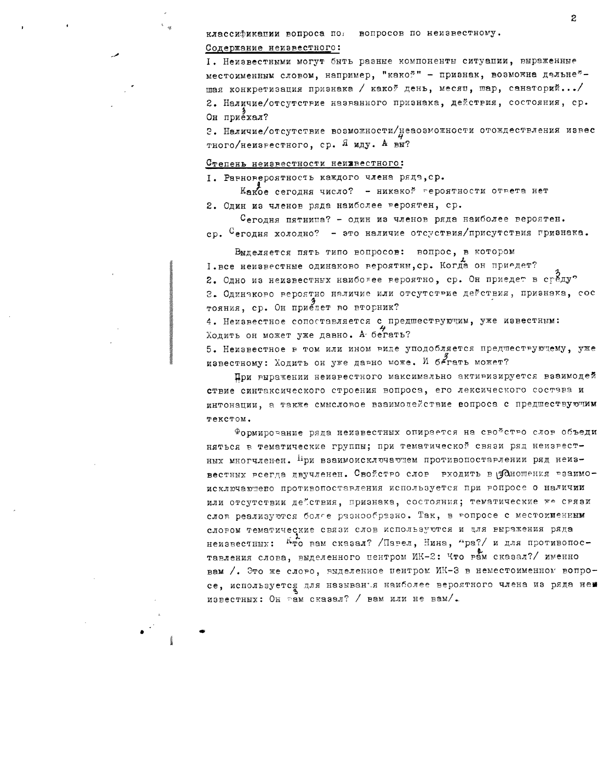классификации вопроса по вопросов по неизвестному.

#### Содержание неизвестного:

I. Неизвестными могут быть разные компоненты ситуации, выраженные местоименным словом, например, "какой" - признак, возможна дальне\*шая конкретизация признака / какой день, месяп, шар, санаторий.../ 2. Наличие/отсутствие названного признака, действия, состояния, ср. Он приехал?

2. Наличие/отсутствие возможности/неаозможности отождествления извес тного/неизрестного, ср. Я иду. А вы?

#### Степень неизвестности неижвестного:

I. Равновероятность каждого члена ряда, ср.

Какое сегодня число? - никакой героятности ответа нет

2. Один из членов ряда наиболее вероятен, ср.

Сегодня пятница? - один из членов ряда наиболее вероятен. ср. <sup>С</sup>егодня холодно? - это наличие отсуствия/присутствия гризнака.

Выделяется пять типо вопросов: вопрос, в котором I. все неизвестные одинаково вероятны, ср. Когда он приедет? 2. Одно из неизвестных наиболее вероятно, ср. Он приедет в среду? 3. Одинаково вероятно наличие или отсутствие действия, признака, сос тояния, ср. Он приедет во вторник?

4. Неизвестное сопоставляется с предшествующим, уже известным: Ходить он может уже давно. А бегать?

5. Неизвестное в том или ином виде уподобляется предпествующему, уже известному: Ходить он уже давно може. И бегать может?

При выражении неизвестного максимально активизируется взаимодей ствие синтаксического строения вопроса, его лексического состава и интонации, а также смысловое взаимодействие вопроса с предшествующим текстом.

Формирование ряда неизвестных опирается на свойство слов объеди няться в тематические группы; при тематической связи ряд неизвестных многчленен. При взаимоисключающем противопоставлении ряд неизвестных всегда двучленен. Свойство слов входить в уданошения взаимоисключаютево противопоставления используется при вопросе о наличии или отсутствии де"ствия, признака, состояния; тематические же срязи слов реализуются болге разнообразно. Так, в вопросе с местоименным словом тематические связи слов используются и цля выражения ряда неизвестных: Кто вам сказал? /Парел, Нина, "ра?/ и для противопоставления слова, выделенного центром ИК-2: Что вам сказал?/ именно вам /. Это же слоро, выделенное центром ИК-3 в неместоименном вопросе, используется для называнъя наиболее вероятного члена из ряда неи известных: Он рам сказал? / вам или не вам/.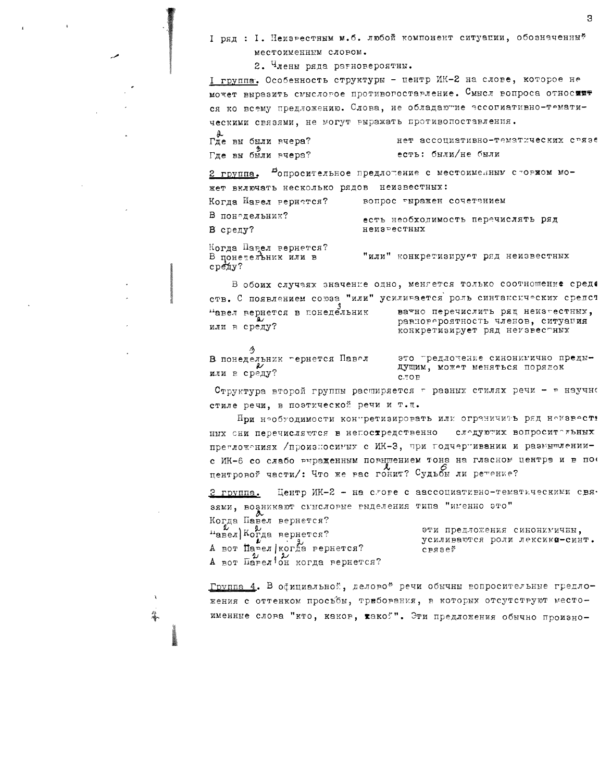I ряд : I. Неизрестным м.б. любой компонент ситуации, обозначенный местоименным словом.

2. Члены ряда рагновероятны.

I группа. Особенность структуры - центр ИК-2 на слове, которое не может выразить смысловое противогоставление. Смысл вопроса относить ся ко всему предложению. Слова, не обладаютие эссопиативно-тематическими связями, не могут выражать противопоставления.

|  | Где вы были вчера? |  |                    | нет ассоциативно-тематических связе |  |
|--|--------------------|--|--------------------|-------------------------------------|--|
|  | Где вы были вчера? |  | есть: были/не были |                                     |  |

Фопросительное предложение с местоименным сторжом мо-2 группа. жет включать несколько рядов неизвестных:

| Когда Навел вернется? | вопрос гыражен сочетанием          |
|-----------------------|------------------------------------|
| В понедельник?        | есть необходимость перечислять ряд |
| В среду?              | неизрестных                        |
|                       |                                    |

Когда Панел вернется? В понетельник или в cpeny?

 $\Lambda$ 

В обоих случаях значение одно, меняется только соотношение среда  $\alpha$  respectively comes  $\frac{H_{H,HH}}{N}$  verture anon port entrepretures are anon-

|                              | CTB. C HONBACHROM CONSO MAN JURGARESCIUM POGLOGICAS CAMA OPOMO      |
|------------------------------|---------------------------------------------------------------------|
| павел вернется в понедельник | ватно перечислить ряд неиз-естных.                                  |
| или в среду?                 | равногероятность членов, ситуация<br>конкретизирует ряд неизвестных |
|                              |                                                                     |

В понедельник гернется Павел или в среду?

это гредлочение синонимично предыдущим, может меняться порядок  $C.TOP$ 

"или" конкретизирует ряд неизвестных

Структура второй группы расширяется г разных стилях речи - в научно стиле речи, в поэтической речи и т. и.

Нри нообуодимости контретизировать или ограничить ряд номавость ных сни перечисляются в непостредственно слодуютих вопросительных претложениях /произносимых с ИК-3, при годчертивании и размышлениис ИК-6 со слабо выраденным повышением тона на гласном центра и в пое центровой части/: Что же вас гонит? Судьбы ли ретение?

Центр ИК-2 - на слове с аассоциативно-тематическими свя-З группа. зями, возникают смнеловые выделения типа "именно это"

Когда Павел вернется?  $\mu_{\texttt{aBeJ}}$  Когда вернется? А вот Павел | когда вернется? А вот Панел он когда вернется?

эти предложения синонимины. усиливаются роли лексико-синт.  $CPRB$ e $\tilde{v}$ 

Группа 4. В обициальной, деловой речи обычны вопросительные гредложения с оттенком просъбы, трибования, в которых отсутствуют местоименные слова "кто, каков, какой". Эти предложения обычно произно-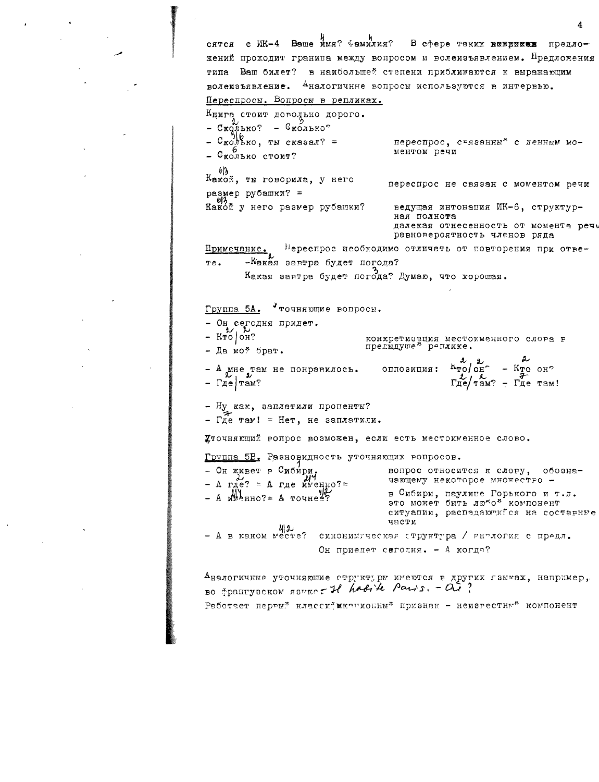сятся с ИК-4 Ваше имя?  $\Phi$ амилия? В сфере таких конроках предложений проходит гранипа между вопросом и волеизъявлением. Предложения типа Ваш билет? в наибольшей степени приближаются к выражающим волеизъявление. <sup>А</sup>налогичные вопросы используются в интервью. Переспросы. Вопросы в репликах. Книга стоит доводьно дорого. Сколько? - Сколько?<br>Сколько, ты сказал? =  $-$  Сколько? переспрос, срязанны" с ленным моментом речи - Сколько стоит? 613 Какой, ты говорила, у него переспрос не связан с моментом речи размер рубашки? = Какой у него размер рубашки? ведущая интонация ИК-6, структурная полнота далекая отнесенность от момента речу равновероятность членов ряда Примечание. Нереспрос необходимо отличать от повторения при отве--Жакая завтра будет погода? Te. Какая завтра будет погода? Думаю, что хорошая. Уточняющие вопросы. Группа 5А. - Он сегодня придет.  $-$  KTO  $\sim$  CH? конкретизация местоименного слова в предыдущей реплике. - Да моў брат.  $h_{\text{TO}}$   $\frac{\text{2}}{\text{OH}}$ сппозиция:  $-$  KTO OH?  $-$  А мне там не понравилось.  $\Gamma_{\text{He}}^2/\Gamma_{\text{EM}}^2 - \Gamma_{\text{He}}^2$  Tam!  $\Gamma$ *ne*  $\Gamma$ <sup>2</sup> Ну как, заплатили пропенты?  $\Gamma$  $\pi$ e  $\tau$ aw! = Het, не заплатили. Уточняющий вопрос возможен, если есть местоименное слово. Группа 5Б. Разновидность уточняющих вопросов. - Он живет в Сибири, вопрос относится к слову, обозначающему некоторое множество -A rue? = A rue Myenho?=  $A \text{ When no?} = A \text{ volume}$ в Сибири, наулице Горького и т.л. это может быть любой компонент ситуании, распедающийся на составные части - А в каком месте? синонимическая структура / аналогия с предл. Он приедет сегодня. - А когда? Аналогичные уточняюшие структуры имеются в других гзымах, например, BO TOBHLYSCRON RSHEP TI habite Pairs. -  $Q_{\mathcal{U}}^{(1)}$ ?

Работает первый классий иконионный признак - неизвестный компонент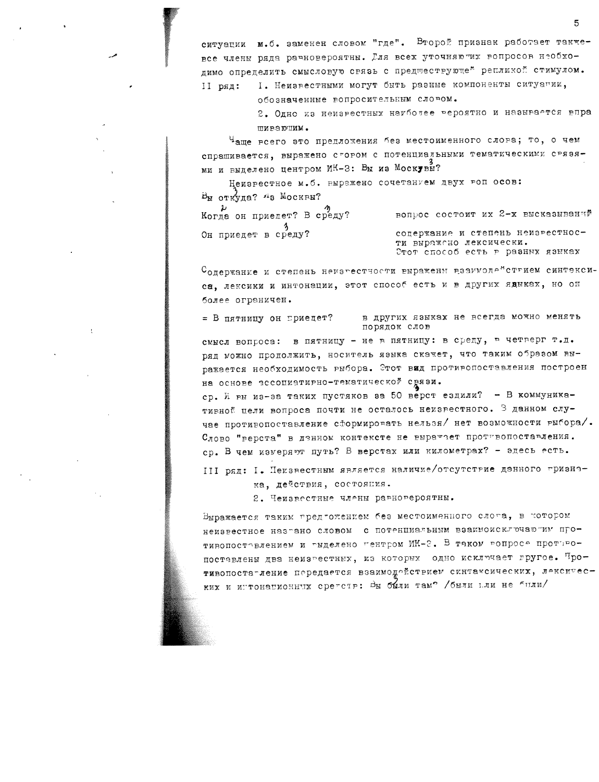ситуации м.б. заменен словом "где". Второй признак работает такжевсе члены ряда равновероятны. Гля всех уточняютих вопросов необходимо определить смысловую связь с предпествующе" репликой стимулом. I. Неизвестными могут быть разные компоненты ситуатии, II pял:

обозначенные вопросительным словом.

2. Одно из неизрестных наиболее рероятно и называется впра пивающим.

Ч<sub>аше всего это предложения без местоименного слова; то, о чем</sub> спрашивается, выражено стором с потенциальными тематическими срязя-

Неизрестное м.б. выражено сочетанием двух воп осов:  $B_M$  откуда? "в Москвы? Когда он приедет? В среду? вопрос состоит их  $2-x$  высказываний

Он приедет в среду?

содержание и степень неизвестности выражено лексически. Стот способ есть в разных языках

Содержание и степень немагестности выражени взаимоде\*ствием синтэксиса, лексики и интонации, этот способ есть и в других ядыках, но он более ограничен.

в других языках не всегда можно менять = В пятницу он приедет? порядок слов

смысл вопроса: в пятницу - не в пятницу: в среду, в четверг т.д. ряд можно продолжить, носитель языка скажет, что таким образом выражается необходимость выбора. Этот вид противопоставления построен на основе эссоциатирно-тематической срязи.

ср. И вы из-за таких пустяков за 50 верст ездили? - В коммуникативной цели вопроса почти не осталось неизвестного. В данном случае противопоставление сформировать нельзя/ нет возможности рыбора/. Слово "верста" в денном контексте не выражает противопоставления. ср. В чем измеряют путь? В верстах или километрах? - эдесь есть.

III ряд: I. Некзвестным является наличие/отсутствие дэнного гризнака, действия, состояния.

2. Чеизвестные члены равновероятны.

Выражается таким предгожением без местоименного слога, в котором неизвестное назгано словом с потенциальным взаимоисключаютим протинопостовлением и гыделено гентром ИК-2. В таком вопросе проттвопоставлены два неизрестных, из которых одно исключает гругое. Противопоста-ление передается взаимодействием синтаксических, лексических и игтонапионных сретств: Вы были тамо /были пли не были/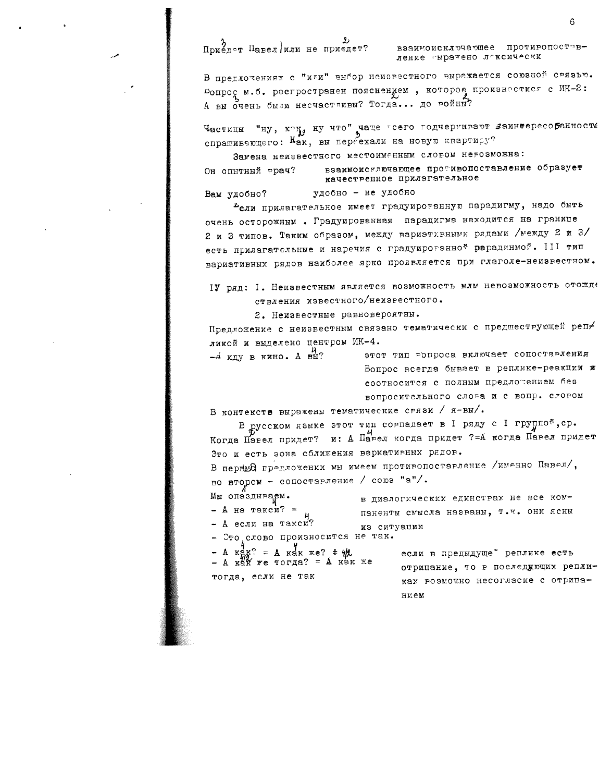## Приедот Павел или не приедет?

взаимоисключающее противопоставление гыратено локсически

В предлочениях с "или" выбор неизвестного выражается союзной связью.  $\mathfrak{sompo}$  м.б. растространен пояснением, которое произностися с ИК-2: А вы очень были несчастливы? Тогда... до войны?

Частицы "ну, кон, ну что" чаще гсего годчериивают заинтересобанность спрашивающего: Как, вы переехали на новую квартиру?

Замена неизвестного местоименным словом невозможна:

удобно - не удобно

взаимоисключающее противопоставление образует Он опытный грач? качественное прилагательное

Вам удобно?

<sup>в</sup>сли прилагательное имеет градуироганную парадигму, надо быть очень осторожным. Градуированная парадигма находится на границе 2 и 3 типов. Таким образом, между вариэтивными рядами /между 2 и 3/ есть прилагательные и наречия с градуироганно\* рарадинмой. III тип вариативных рядов наиболее ярко проявляется при глаголе-неизвестном.

IV ряд: I. Неизвестным является возможность млм невозможность отожде ствления известного/неизрестного.

2. Неизвестные равновероятны.

Предложение с неизвестным связано тематически с предшеструющей репликой и выделено центром ИК-4.

- лиду в кино. А вы?

этот тип ропроса включает сопостарления Вопрос всегда бывает в реплике-реакции и соотносится с полным предлотением без вопросительного слова и с вопр. словом

в диалогических единствах не все ком-

паненты смысла названы, т.к. они ясны

В контексте выражены тематические срязи / я-вы/.

В русском языке этот тип сорпадает в I ряду с I группой, ср. у<br>Когда Павел придет? и: А Павел когда придет ?=А когда Павел придет Это и есть зона сближения вариативных рядов.

В перный предложении мы имеем противопоставление /именно Павел/, во втором - сопоставление / союз "а"/.

Мы опаздываем.

 $-$  A Ha Takcu? = - А если на такси?

Сто слово произносится не так.

 $A$   $\kappa \overset{\Delta}{\approx} \kappa$ ? =  $A$   $\kappa \overset{\Delta}{\approx} \kappa$   $\kappa \overset{\Delta}{\approx}$  ?  $\overset{\Delta}{\approx}$   $\overset{\Delta}{\approx}$ A  $\kappa$ dk we TOTAa? = A  $\kappa$ ak we тогда, если не так

из ситуации если в предыдуще" реплике есть отрицание, то в последующих репликах розможно несогласие с отрипа-

нием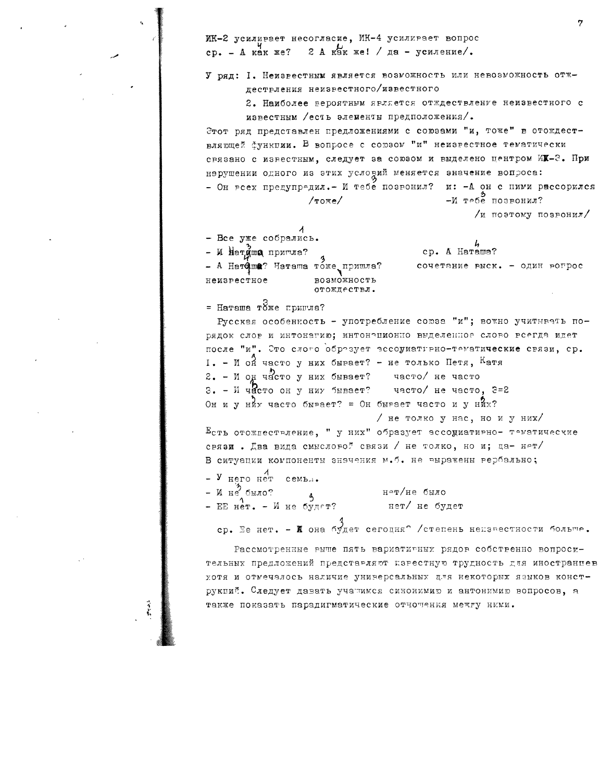ИК-2 усиливает несогласие, ИК-4 усиливает вопрос 2 А как же! / да - усиление/.  $cp. - A$   $kar$   $xe$ ?

#### У ряд: I. Неизвестным является возможность или невозможность отжлествления неизвестного/известного

2. Наиболее вероятным является отждествление неизвестного с известным /есть элементы предположения/.

Этот ряд представлен предложениями с союзами "и, тоже" в отождествляющей функции. В вопросе с союзом "и" неизрестное тематически связано с известным, следует за союзом и выделено центром ИХ-2. При нэрушении одного из этих условий меняется значение вопроса: - Он всех предупредил. - И тебе позвонил? и: -А он с ними рассорился  $-M$  тебе позвонил?  $/$ тоже $/$ 

/и поэтому позвонил/

- Все уже собрались.

- И Натудша пригла? - А Натфша? Наташа тоже пришла? неизрестное возможность отождествл.

cp. A Harama? сочетание выск. - один вогрос

= Harama roxe пригла?

Русская особенность - употребление союза "и"; вожно учитывать порядок слов и интонагию; интонационно выделенное слово всегда идет после "и". Это слого образует ассониативно-тематические связи, ср.  $I_{\bullet}$  - И он часто у них бывает? - не только Петя, Катя 2. - И од часто у них бывает? часто/ не часто 3. - И часто он у ниу бывает? часто/ не часто, 3=2 Он и у них часто бывает? = Он бывает часто и у них? / не толко у нас, но и у них/

 $E_{\texttt{C}^{\texttt{T}}\texttt{b}}$  отождествление, " у них" образует эссодиативно- тематические связи. Два вида смысловой связи / не толко, но и; да- нет/ В ситуации компоненты энэчения м.б. не выражены вербально;

 $V$   $H$ ero  $H$ er cembu. – И не было? н≏т/не было  $\overline{3}$ - EE  $H^1$ **e**  $\mathbf{r}$ . -  $M$   $\mathbf{r}$  e будет? нет/ не будет

ер. Ее нет. - Жона будет сегодня? /степень неизвестности больше.

Рассмотренные выше пять вариативных рядов собственно вопросительных предложений представляют карестную трудность для иностранцев хотя и отмечалось наличие универсальных для некоторых языков конструкций. Следует давать учатимся синонимию и антонимию вопросов, а также показать парадигматические отночения межгу ними.